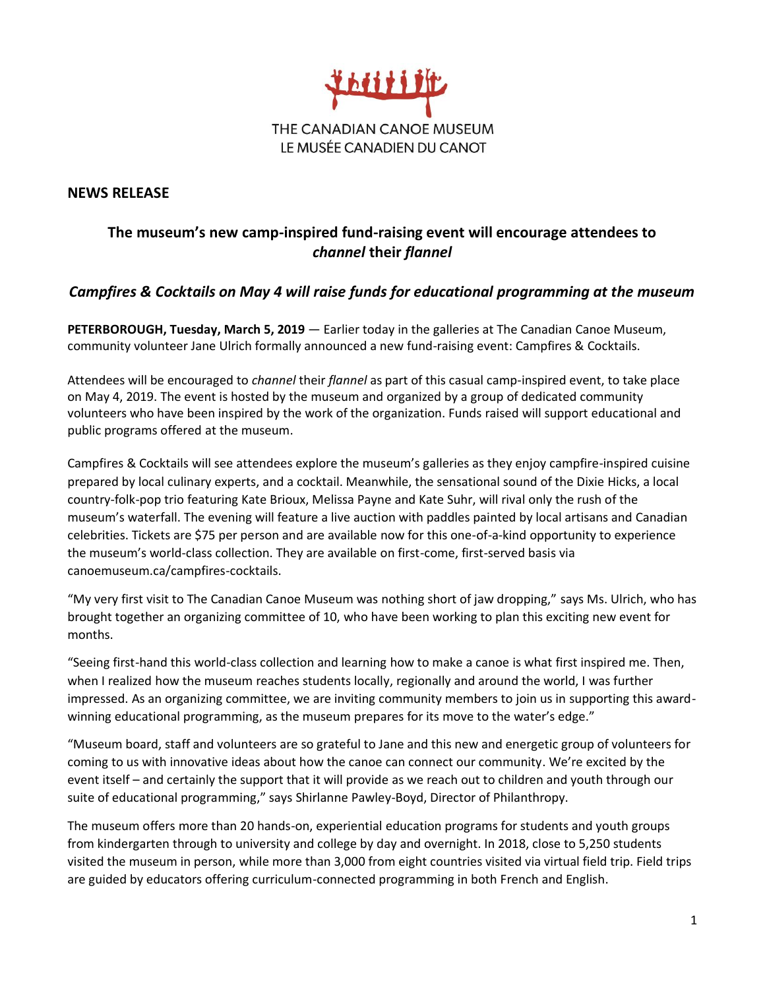

## **NEWS RELEASE**

## **The museum's new camp-inspired fund-raising event will encourage attendees to**  *channel* **their** *flannel*

## *Campfires & Cocktails on May 4 will raise funds for educational programming at the museum*

**PETERBOROUGH, Tuesday, March 5, 2019** — Earlier today in the galleries at The Canadian Canoe Museum, community volunteer Jane Ulrich formally announced a new fund-raising event: Campfires & Cocktails.

Attendees will be encouraged to *channel* their *flannel* as part of this casual camp-inspired event, to take place on May 4, 2019. The event is hosted by the museum and organized by a group of dedicated community volunteers who have been inspired by the work of the organization. Funds raised will support educational and public programs offered at the museum.

Campfires & Cocktails will see attendees explore the museum's galleries as they enjoy campfire-inspired cuisine prepared by local culinary experts, and a cocktail. Meanwhile, the sensational sound of the Dixie Hicks, a local country-folk-pop trio featuring Kate Brioux, Melissa Payne and Kate Suhr, will rival only the rush of the museum's waterfall. The evening will feature a live auction with paddles painted by local artisans and Canadian celebrities. Tickets are \$75 per person and are available now for this one-of-a-kind opportunity to experience the museum's world-class collection. They are available on first-come, first-served basis via canoemuseum.ca/campfires-cocktails.

"My very first visit to The Canadian Canoe Museum was nothing short of jaw dropping," says Ms. Ulrich, who has brought together an organizing committee of 10, who have been working to plan this exciting new event for months.

"Seeing first-hand this world-class collection and learning how to make a canoe is what first inspired me. Then, when I realized how the museum reaches students locally, regionally and around the world, I was further impressed. As an organizing committee, we are inviting community members to join us in supporting this awardwinning educational programming, as the museum prepares for its move to the water's edge."

"Museum board, staff and volunteers are so grateful to Jane and this new and energetic group of volunteers for coming to us with innovative ideas about how the canoe can connect our community. We're excited by the event itself – and certainly the support that it will provide as we reach out to children and youth through our suite of educational programming," says Shirlanne Pawley-Boyd, Director of Philanthropy.

The museum offers more than 20 hands-on, experiential education programs for students and youth groups from kindergarten through to university and college by day and overnight. In 2018, close to 5,250 students visited the museum in person, while more than 3,000 from eight countries visited via virtual field trip. Field trips are guided by educators offering curriculum-connected programming in both French and English.